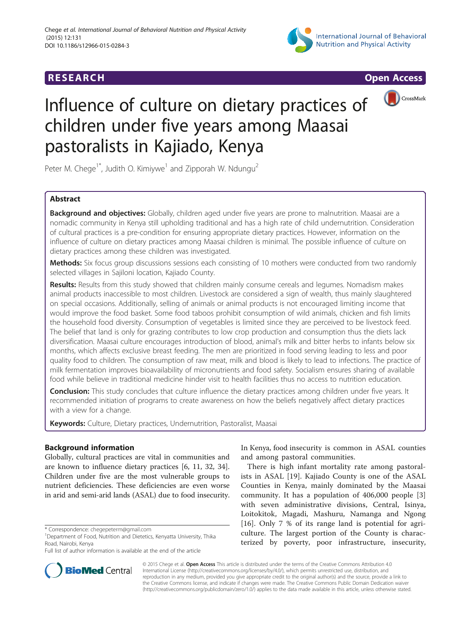## **RESEARCH RESEARCH CONSUMING ACCESS**





CrossMark

# Influence of culture on dietary practices of children under five years among Maasai pastoralists in Kajiado, Kenya

Peter M. Chege<sup>1\*</sup>, Judith O. Kimiywe<sup>1</sup> and Zipporah W. Ndungu<sup>2</sup>

## Abstract

Background and objectives: Globally, children aged under five years are prone to malnutrition. Maasai are a nomadic community in Kenya still upholding traditional and has a high rate of child undernutrition. Consideration of cultural practices is a pre-condition for ensuring appropriate dietary practices. However, information on the influence of culture on dietary practices among Maasai children is minimal. The possible influence of culture on dietary practices among these children was investigated.

Methods: Six focus group discussions sessions each consisting of 10 mothers were conducted from two randomly selected villages in Sajiloni location, Kajiado County.

Results: Results from this study showed that children mainly consume cereals and legumes. Nomadism makes animal products inaccessible to most children. Livestock are considered a sign of wealth, thus mainly slaughtered on special occasions. Additionally, selling of animals or animal products is not encouraged limiting income that would improve the food basket. Some food taboos prohibit consumption of wild animals, chicken and fish limits the household food diversity. Consumption of vegetables is limited since they are perceived to be livestock feed. The belief that land is only for grazing contributes to low crop production and consumption thus the diets lack diversification. Maasai culture encourages introduction of blood, animal's milk and bitter herbs to infants below six months, which affects exclusive breast feeding. The men are prioritized in food serving leading to less and poor quality food to children. The consumption of raw meat, milk and blood is likely to lead to infections. The practice of milk fermentation improves bioavailability of micronutrients and food safety. Socialism ensures sharing of available food while believe in traditional medicine hinder visit to health facilities thus no access to nutrition education.

Conclusion: This study concludes that culture influence the dietary practices among children under five years. It recommended initiation of programs to create awareness on how the beliefs negatively affect dietary practices with a view for a change.

Keywords: Culture, Dietary practices, Undernutrition, Pastoralist, Maasai

## Background information

Globally, cultural practices are vital in communities and are known to influence dietary practices [[6, 11, 32](#page-5-0), [34](#page-5-0)]. Children under five are the most vulnerable groups to nutrient deficiencies. These deficiencies are even worse in arid and semi-arid lands (ASAL) due to food insecurity.

**BioMed** Central



There is high infant mortality rate among pastoralists in ASAL [\[19](#page-5-0)]. Kajiado County is one of the ASAL Counties in Kenya, mainly dominated by the Maasai community. It has a population of 406,000 people [\[3](#page-5-0)] with seven administrative divisions, Central, Isinya, Loitokitok, Magadi, Mashuru, Namanga and Ngong [[16\]](#page-5-0). Only 7 % of its range land is potential for agriculture. The largest portion of the County is characterized by poverty, poor infrastructure, insecurity,

© 2015 Chege et al. Open Access This article is distributed under the terms of the Creative Commons Attribution 4.0 International License [\(http://creativecommons.org/licenses/by/4.0/](http://creativecommons.org/licenses/by/4.0/)), which permits unrestricted use, distribution, and reproduction in any medium, provided you give appropriate credit to the original author(s) and the source, provide a link to the Creative Commons license, and indicate if changes were made. The Creative Commons Public Domain Dedication waiver [\(http://creativecommons.org/publicdomain/zero/1.0/](http://creativecommons.org/publicdomain/zero/1.0/)) applies to the data made available in this article, unless otherwise stated.

<sup>\*</sup> Correspondence: [chegepeterm@gmail.com](mailto:chegepeterm@gmail.com) <sup>1</sup>

<sup>&</sup>lt;sup>1</sup>Department of Food, Nutrition and Dietetics, Kenyatta University, Thika Road, Nairobi, Kenya

Full list of author information is available at the end of the article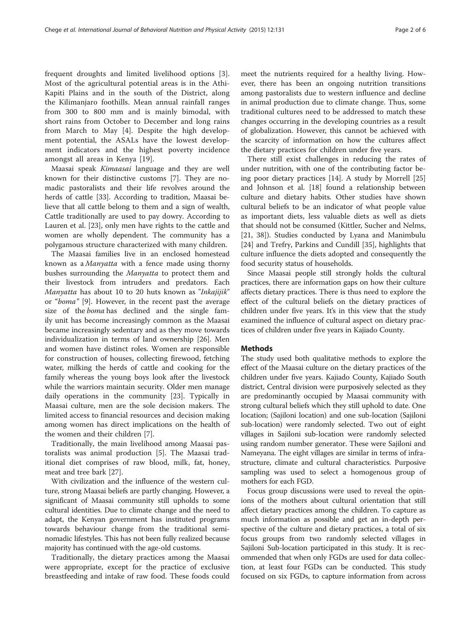frequent droughts and limited livelihood options [\[3](#page-5-0)]. Most of the agricultural potential areas is in the Athi-Kapiti Plains and in the south of the District, along the Kilimanjaro foothills. Mean annual rainfall ranges from 300 to 800 mm and is mainly bimodal, with short rains from October to December and long rains from March to May [[4\]](#page-5-0). Despite the high development potential, the ASALs have the lowest development indicators and the highest poverty incidence amongst all areas in Kenya [[19\]](#page-5-0).

Maasai speak Kimaasai language and they are well known for their distinctive customs [\[7](#page-5-0)]. They are nomadic pastoralists and their life revolves around the herds of cattle [[33\]](#page-5-0). According to tradition, Maasai believe that all cattle belong to them and a sign of wealth, Cattle traditionally are used to pay dowry. According to Lauren et al. [[23\]](#page-5-0), only men have rights to the cattle and women are wholly dependent. The community has a polygamous structure characterized with many children.

The Maasai families live in an enclosed homestead known as a Manyatta with a fence made using thorny bushes surrounding the *Manyatta* to protect them and their livestock from intruders and predators. Each Manyatta has about 10 to 20 huts known as "Inkajijik" or "boma" [[9\]](#page-5-0). However, in the recent past the average size of the *boma* has declined and the single family unit has become increasingly common as the Maasai became increasingly sedentary and as they move towards individualization in terms of land ownership [\[26](#page-5-0)]. Men and women have distinct roles. Women are responsible for construction of houses, collecting firewood, fetching water, milking the herds of cattle and cooking for the family whereas the young boys look after the livestock while the warriors maintain security. Older men manage daily operations in the community [[23\]](#page-5-0). Typically in Maasai culture, men are the sole decision makers. The limited access to financial resources and decision making among women has direct implications on the health of the women and their children [\[7](#page-5-0)].

Traditionally, the main livelihood among Maasai pastoralists was animal production [\[5](#page-5-0)]. The Maasai traditional diet comprises of raw blood, milk, fat, honey, meat and tree bark [[27](#page-5-0)].

With civilization and the influence of the western culture, strong Maasai beliefs are partly changing. However, a significant of Maasai community still upholds to some cultural identities. Due to climate change and the need to adapt, the Kenyan government has instituted programs towards behaviour change from the traditional seminomadic lifestyles. This has not been fully realized because majority has continued with the age-old customs.

Traditionally, the dietary practices among the Maasai were appropriate, except for the practice of exclusive breastfeeding and intake of raw food. These foods could

meet the nutrients required for a healthy living. However, there has been an ongoing nutrition transitions among pastoralists due to western influence and decline in animal production due to climate change. Thus, some traditional cultures need to be addressed to match these changes occurring in the developing countries as a result of globalization. However, this cannot be achieved with the scarcity of information on how the cultures affect the dietary practices for children under five years.

There still exist challenges in reducing the rates of under nutrition, with one of the contributing factor being poor dietary practices [[14\]](#page-5-0). A study by Morrell [[25](#page-5-0)] and Johnson et al. [\[18\]](#page-5-0) found a relationship between culture and dietary habits. Other studies have shown cultural beliefs to be an indicator of what people value as important diets, less valuable diets as well as diets that should not be consumed (Kittler, Sucher and Nelms, [[21, 38](#page-5-0)]). Studies conducted by Lyana and Manimbulu [[24\]](#page-5-0) and Trefry, Parkins and Cundill [\[35\]](#page-5-0), highlights that culture influence the diets adopted and consequently the food security status of households.

Since Maasai people still strongly holds the cultural practices, there are information gaps on how their culture affects dietary practices. There is thus need to explore the effect of the cultural beliefs on the dietary practices of children under five years. It's in this view that the study examined the influence of cultural aspect on dietary practices of children under five years in Kajiado County.

#### Methods

The study used both qualitative methods to explore the effect of the Maasai culture on the dietary practices of the children under five years. Kajiado County, Kajiado South district, Central division were purposively selected as they are predominantly occupied by Maasai community with strong cultural beliefs which they still uphold to date. One location; (Sajiloni location) and one sub-location (Sajiloni sub-location) were randomly selected. Two out of eight villages in Sajiloni sub-location were randomly selected using random number generator. These were Sajiloni and Nameyana. The eight villages are similar in terms of infrastructure, climate and cultural characteristics. Purposive sampling was used to select a homogenous group of mothers for each FGD.

Focus group discussions were used to reveal the opinions of the mothers about cultural orientation that still affect dietary practices among the children. To capture as much information as possible and get an in-depth perspective of the culture and dietary practices, a total of six focus groups from two randomly selected villages in Sajiloni Sub-location participated in this study. It is recommended that when only FGDs are used for data collection, at least four FGDs can be conducted. This study focused on six FGDs, to capture information from across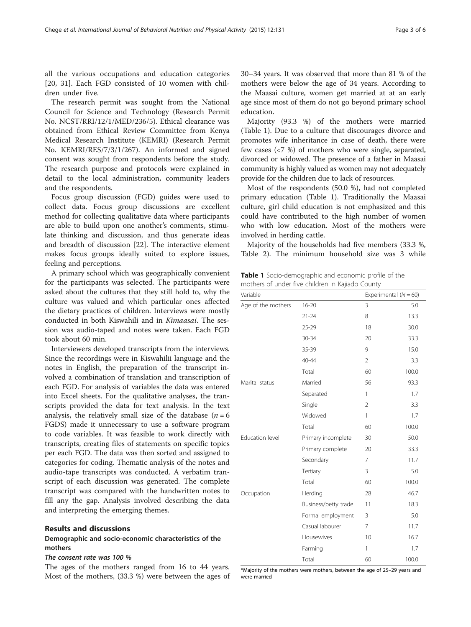all the various occupations and education categories [[20, 31](#page-5-0)]. Each FGD consisted of 10 women with children under five.

The research permit was sought from the National Council for Science and Technology (Research Permit No. NCST/RRI/12/1/MED/236/5). Ethical clearance was obtained from Ethical Review Committee from Kenya Medical Research Institute (KEMRI) (Research Permit No. KEMRI/RES/7/3/1/267). An informed and signed consent was sought from respondents before the study. The research purpose and protocols were explained in detail to the local administration, community leaders and the respondents.

Focus group discussion (FGD) guides were used to collect data. Focus group discussions are excellent method for collecting qualitative data where participants are able to build upon one another's comments, stimulate thinking and discussion, and thus generate ideas and breadth of discussion [\[22\]](#page-5-0). The interactive element makes focus groups ideally suited to explore issues, feeling and perceptions.

A primary school which was geographically convenient for the participants was selected. The participants were asked about the cultures that they still hold to, why the culture was valued and which particular ones affected the dietary practices of children. Interviews were mostly conducted in both Kiswahili and in Kimaasai. The session was audio-taped and notes were taken. Each FGD took about 60 min.

Interviewers developed transcripts from the interviews. Since the recordings were in Kiswahilii language and the notes in English, the preparation of the transcript involved a combination of translation and transcription of each FGD. For analysis of variables the data was entered into Excel sheets. For the qualitative analyses, the transcripts provided the data for text analysis. In the text analysis, the relatively small size of the database  $(n = 6$ FGDS) made it unnecessary to use a software program to code variables. It was feasible to work directly with transcripts, creating files of statements on specific topics per each FGD. The data was then sorted and assigned to categories for coding. Thematic analysis of the notes and audio-tape transcripts was conducted. A verbatim transcript of each discussion was generated. The complete transcript was compared with the handwritten notes to fill any the gap. Analysis involved describing the data and interpreting the emerging themes.

#### Results and discussions

### Demographic and socio-economic characteristics of the mothers

#### The consent rate was 100 %

The ages of the mothers ranged from 16 to 44 years. Most of the mothers, (33.3 %) were between the ages of 30–34 years. It was observed that more than 81 % of the mothers were below the age of 34 years. According to the Maasai culture, women get married at at an early age since most of them do not go beyond primary school education.

Majority (93.3 %) of the mothers were married (Table 1). Due to a culture that discourages divorce and promotes wife inheritance in case of death, there were few cases (<7 %) of mothers who were single, separated, divorced or widowed. The presence of a father in Maasai community is highly valued as women may not adequately provide for the children due to lack of resources.

Most of the respondents (50.0 %), had not completed primary education (Table 1). Traditionally the Maasai culture, girl child education is not emphasized and this could have contributed to the high number of women who with low education. Most of the mothers were involved in herding cattle.

Majority of the households had five members (33.3 %, Table [2](#page-3-0)). The minimum household size was 3 while

Table 1 Socio-demographic and economic profile of the mothers of under five children in Kajiado County

| Variable           |                      | Experimental $(N = 60)$ |       |
|--------------------|----------------------|-------------------------|-------|
| Age of the mothers | $16 - 20$            | 3                       | 5.0   |
|                    | $21 - 24$            | 8                       | 13.3  |
|                    | $25 - 29$            | 18                      | 30.0  |
|                    | 30-34                | 20                      | 33.3  |
|                    | 35-39                | 9                       | 15.0  |
|                    | $40 - 44$            | $\overline{2}$          | 3.3   |
|                    | Total                | 60                      | 100.0 |
| Marital status     | Married              | 56                      | 93.3  |
|                    | Separated            | 1                       | 1.7   |
|                    | Single               | $\overline{2}$          | 3.3   |
|                    | Widowed              | $\mathbf{1}$            | 1.7   |
|                    | Total                | 60                      | 100.0 |
| Education level    | Primary incomplete   | 30                      | 50.0  |
|                    | Primary complete     | 20                      | 33.3  |
|                    | Secondary            | $\overline{7}$          | 11.7  |
|                    | Tertiary             | 3                       | 5.0   |
|                    | Total                | 60                      | 100.0 |
| Occupation         | Herding              | 28                      | 46.7  |
|                    | Business/petty trade | 11                      | 18.3  |
|                    | Formal employment    | 3                       | 5.0   |
|                    | Casual labourer      | $\overline{7}$          | 11.7  |
|                    | Housewives           | 10                      | 16.7  |
|                    | Farming              | 1                       | 1.7   |
|                    | Total                | 60                      | 100.0 |

\*Majority of the mothers were mothers, between the age of 25–29 years and were married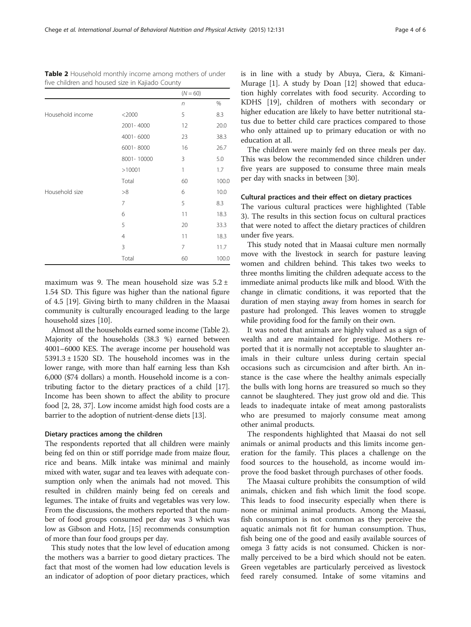<span id="page-3-0"></span>

| <b>Table 2</b> Household monthly income among mothers of under |  |  |
|----------------------------------------------------------------|--|--|
| five children and housed size in Kajiado County                |  |  |

|                  |                | $(N = 60)$ |       |
|------------------|----------------|------------|-------|
|                  |                | $\sqrt{n}$ | %     |
| Household income | $<$ 2000       | 5          | 8.3   |
|                  | 2001-4000      | 12         | 20.0  |
|                  | 4001-6000      | 23         | 38.3  |
|                  | 6001-8000      | 16         | 26.7  |
|                  | 8001-10000     | 3          | 5.0   |
|                  | >10001         | 1          | 1.7   |
|                  | Total          | 60         | 100.0 |
| Household size   | >8             | 6          | 10.0  |
|                  | 7              | 5          | 8.3   |
|                  | 6              | 11         | 18.3  |
|                  | 5              | 20         | 33.3  |
|                  | $\overline{4}$ | 11         | 18.3  |
|                  | 3              | 7          | 11.7  |
|                  | Total          | 60         | 100.0 |

maximum was 9. The mean household size was  $5.2 \pm$ 1.54 SD. This figure was higher than the national figure of 4.5 [[19\]](#page-5-0). Giving birth to many children in the Maasai community is culturally encouraged leading to the large household sizes [[10\]](#page-5-0).

Almost all the households earned some income (Table 2). Majority of the households (38.3 %) earned between 4001–6000 KES. The average income per household was  $5391.3 \pm 1520$  SD. The household incomes was in the lower range, with more than half earning less than Ksh 6,000 (\$74 dollars) a month. Household income is a contributing factor to the dietary practices of a child [[17](#page-5-0)]. Income has been shown to affect the ability to procure food [[2, 28](#page-5-0), [37](#page-5-0)]. Low income amidst high food costs are a barrier to the adoption of nutrient-dense diets [\[13\]](#page-5-0).

#### Dietary practices among the children

The respondents reported that all children were mainly being fed on thin or stiff porridge made from maize flour, rice and beans. Milk intake was minimal and mainly mixed with water, sugar and tea leaves with adequate consumption only when the animals had not moved. This resulted in children mainly being fed on cereals and legumes. The intake of fruits and vegetables was very low. From the discussions, the mothers reported that the number of food groups consumed per day was 3 which was low as Gibson and Hotz, [[15](#page-5-0)] recommends consumption of more than four food groups per day.

This study notes that the low level of education among the mothers was a barrier to good dietary practices. The fact that most of the women had low education levels is an indicator of adoption of poor dietary practices, which is in line with a study by Abuya, Ciera, & Kimani-Murage [[1\]](#page-5-0). A study by Doan [[12\]](#page-5-0) showed that education highly correlates with food security. According to KDHS [[19\]](#page-5-0), children of mothers with secondary or higher education are likely to have better nutritional status due to better child care practices compared to those who only attained up to primary education or with no education at all.

The children were mainly fed on three meals per day. This was below the recommended since children under five years are supposed to consume three main meals per day with snacks in between [\[30](#page-5-0)].

#### Cultural practices and their effect on dietary practices

The various cultural practices were highlighted (Table [3\)](#page-4-0). The results in this section focus on cultural practices that were noted to affect the dietary practices of children under five years.

This study noted that in Maasai culture men normally move with the livestock in search for pasture leaving women and children behind. This takes two weeks to three months limiting the children adequate access to the immediate animal products like milk and blood. With the change in climatic conditions, it was reported that the duration of men staying away from homes in search for pasture had prolonged. This leaves women to struggle while providing food for the family on their own.

It was noted that animals are highly valued as a sign of wealth and are maintained for prestige. Mothers reported that it is normally not acceptable to slaughter animals in their culture unless during certain special occasions such as circumcision and after birth. An instance is the case where the healthy animals especially the bulls with long horns are treasured so much so they cannot be slaughtered. They just grow old and die. This leads to inadequate intake of meat among pastoralists who are presumed to majorly consume meat among other animal products.

The respondents highlighted that Maasai do not sell animals or animal products and this limits income generation for the family. This places a challenge on the food sources to the household, as income would improve the food basket through purchases of other foods.

The Maasai culture prohibits the consumption of wild animals, chicken and fish which limit the food scope. This leads to food insecurity especially when there is none or minimal animal products. Among the Maasai, fish consumption is not common as they perceive the aquatic animals not fit for human consumption. Thus, fish being one of the good and easily available sources of omega 3 fatty acids is not consumed. Chicken is normally perceived to be a bird which should not be eaten. Green vegetables are particularly perceived as livestock feed rarely consumed. Intake of some vitamins and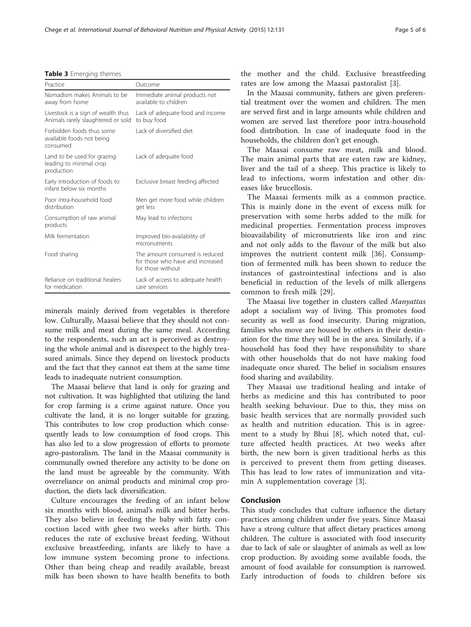<span id="page-4-0"></span>Table 3 Emerging themes

| Practice                                                                 | Outcome                                                                                 |
|--------------------------------------------------------------------------|-----------------------------------------------------------------------------------------|
| Nomadism makes Animals to be<br>away from home                           | Immediate animal products not<br>available to children                                  |
| Livestock is a sign of wealth thus<br>Animals rarely slaughtered or sold | Lack of adequate food and income<br>to buy food                                         |
| Forbidden foods thus some<br>available foods not being<br>consumed       | Lack of diversified diet                                                                |
| Land to be used for grazing<br>leading to minimal crop<br>production     | Lack of adequate food                                                                   |
| Early introduction of foods to<br>infant helow six months                | Exclusive breast feeding affected                                                       |
| Poor intra-household food<br>distribution                                | Men get more food while children<br>get less                                            |
| Consumption of raw animal<br>products                                    | May lead to infections                                                                  |
| Milk fermentation                                                        | Improved bio-availability of<br>micronutrients                                          |
| Food sharing                                                             | The amount consumed is reduced<br>for those who have and increased<br>for those without |
| Reliance on traditional healers<br>for medication                        | Lack of access to adequate health<br>care services                                      |

minerals mainly derived from vegetables is therefore low. Culturally, Maasai believe that they should not consume milk and meat during the same meal. According to the respondents, such an act is perceived as destroying the whole animal and is disrespect to the highly treasured animals. Since they depend on livestock products and the fact that they cannot eat them at the same time leads to inadequate nutrient consumption.

The Maasai believe that land is only for grazing and not cultivation. It was highlighted that utilizing the land for crop farming is a crime against nature. Once you cultivate the land, it is no longer suitable for grazing. This contributes to low crop production which consequently leads to low consumption of food crops. This has also led to a slow progression of efforts to promote agro-pastoralism. The land in the Maasai community is communally owned therefore any activity to be done on the land must be agreeable by the community. With overreliance on animal products and minimal crop production, the diets lack diversification.

Culture encourages the feeding of an infant below six months with blood, animal's milk and bitter herbs. They also believe in feeding the baby with fatty concoction laced with ghee two weeks after birth. This reduces the rate of exclusive breast feeding. Without exclusive breastfeeding, infants are likely to have a low immune system becoming prone to infections. Other than being cheap and readily available, breast milk has been shown to have health benefits to both the mother and the child. Exclusive breastfeeding rates are low among the Maasai pastoralist [\[3](#page-5-0)].

In the Maasai community, fathers are given preferential treatment over the women and children. The men are served first and in large amounts while children and women are served last therefore poor intra-household food distribution. In case of inadequate food in the households, the children don't get enough.

The Maasai consume raw meat, milk and blood. The main animal parts that are eaten raw are kidney, liver and the tail of a sheep. This practice is likely to lead to infections, worm infestation and other diseases like brucellosis.

The Maasai ferments milk as a common practice. This is mainly done in the event of excess milk for preservation with some herbs added to the milk for medicinal properties. Fermentation process improves bioavailability of micronutrients like iron and zinc and not only adds to the flavour of the milk but also improves the nutrient content milk [\[36](#page-5-0)]. Consumption of fermented milk has been shown to reduce the instances of gastrointestinal infections and is also beneficial in reduction of the levels of milk allergens common to fresh milk [[29](#page-5-0)].

The Maasai live together in clusters called Manyattas adopt a socialism way of living. This promotes food security as well as food insecurity. During migration, families who move are housed by others in their destination for the time they will be in the area. Similarly, if a household has food they have responsibility to share with other households that do not have making food inadequate once shared. The belief in socialism ensures food sharing and availability.

They Maasai use traditional healing and intake of herbs as medicine and this has contributed to poor health seeking behaviour. Due to this, they miss on basic health services that are normally provided such as health and nutrition education. This is in agreement to a study by Bhui [\[8](#page-5-0)], which noted that, culture affected health practices. At two weeks after birth, the new born is given traditional herbs as this is perceived to prevent them from getting diseases. This has lead to low rates of immunization and vitamin A supplementation coverage [\[3](#page-5-0)].

#### Conclusion

This study concludes that culture influence the dietary practices among children under five years. Since Maasai have a strong culture that affect dietary practices among children. The culture is associated with food insecurity due to lack of sale or slaughter of animals as well as low crop production. By avoiding some available foods, the amount of food available for consumption is narrowed. Early introduction of foods to children before six